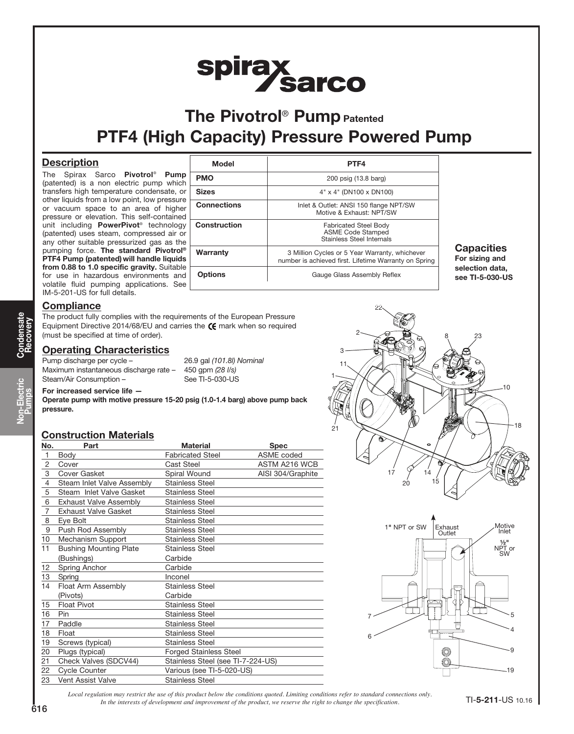# spirax<br>Sarco

## The Pivotrol<sup>®</sup> Pump Patented PTF4 (High Capacity) Pressure Powered Pump

#### **Description**

The Spirax Sarco Pivotrol<sup>®</sup> Pump (patented) is a non electric pump which transfers high temperature condensate, or other liquids from a low point, low pressure or vacuum space to an area of higher pressure or elevation. This self-contained unit including **PowerPivot**® technology (patented) uses steam, compressed air or any other suitable pressurized gas as the pumping force. The standard Pivotrol® PTF4 Pump (patented) will handle liquids from 0.88 to 1.0 specific gravity. Suitable for use in hazardous environments and volatile fluid pumping applications. See IM-5-201-US for full details.

| PTF4                                                                                                    |
|---------------------------------------------------------------------------------------------------------|
| 200 psig (13.8 barg)                                                                                    |
| 4" x 4" (DN100 x DN100)                                                                                 |
| Inlet & Outlet: ANSI 150 flange NPT/SW<br>Motive & Exhaust: NPT/SW                                      |
| <b>Fabricated Steel Body</b><br><b>ASME Code Stamped</b><br>Stainless Steel Internals                   |
| 3 Million Cycles or 5 Year Warranty, whichever<br>number is achieved first. Lifetime Warranty on Spring |
| Gauge Glass Assembly Reflex                                                                             |
|                                                                                                         |

**Capacities** For sizing and selection data, see TI-5-030-US

#### **Compliance**

The product fully complies with the requirements of the European Pressure Equipment Directive 2014/68/EU and carries the  $C$  mark when so required (must be specified at time of order).

#### **Operating Characteristics**

Pump discharge per cycle - 26.9 gal (101.8l) Nominal Maximum instantaneous discharge rate - 450 gpm (28 l/s) Steam/Air Consumption – See TI-5-030-US

#### For increased service life —

Operate pump with motive pressure 15-20 psig (1.0-1.4 barg) above pump back pressure.

#### Construction Materials

| No.            | Part                          | <b>Material</b>                   | <b>Spec</b>       |
|----------------|-------------------------------|-----------------------------------|-------------------|
| $\mathbf{1}$   | Body                          | <b>Fabricated Steel</b>           | <b>ASME</b> coded |
| $\overline{c}$ | Cover                         | Cast Steel                        | ASTM A216 WCB     |
| 3              | Cover Gasket                  | Spiral Wound                      | AISI 304/Graphite |
| $\overline{4}$ | Steam Inlet Valve Assembly    | <b>Stainless Steel</b>            |                   |
| 5              | Steam Inlet Valve Gasket      | <b>Stainless Steel</b>            |                   |
| 6              | <b>Exhaust Valve Assembly</b> | <b>Stainless Steel</b>            |                   |
| $\overline{7}$ | <b>Exhaust Valve Gasket</b>   | <b>Stainless Steel</b>            |                   |
| 8              | Eye Bolt                      | <b>Stainless Steel</b>            |                   |
| 9              | Push Rod Assembly             | <b>Stainless Steel</b>            |                   |
| 10             | Mechanism Support             | <b>Stainless Steel</b>            |                   |
| 11             | <b>Bushing Mounting Plate</b> | <b>Stainless Steel</b>            |                   |
|                | (Bushings)                    | Carbide                           |                   |
| 12             | Spring Anchor                 | Carbide                           |                   |
| 13             | Spring                        | Inconel                           |                   |
| 14             | Float Arm Assembly            | <b>Stainless Steel</b>            |                   |
|                | (Pivots)                      | Carbide                           |                   |
| 15             | <b>Float Pivot</b>            | <b>Stainless Steel</b>            |                   |
| 16             | Pin                           | <b>Stainless Steel</b>            |                   |
| 17             | Paddle                        | <b>Stainless Steel</b>            |                   |
| 18             | Float                         | <b>Stainless Steel</b>            |                   |
| 19             | Screws (typical)              | <b>Stainless Steel</b>            |                   |
| 20             | Plugs (typical)               | <b>Forged Stainless Steel</b>     |                   |
| 21             | Check Valves (SDCV44)         | Stainless Steel (see TI-7-224-US) |                   |
| 22             | <b>Cycle Counter</b>          | Various (see TI-5-020-US)         |                   |
| 23             | Vent Assist Valve             | <b>Stainless Steel</b>            |                   |





*Local regulation may restrict the use of this product below the conditions quoted. Limiting conditions refer to standard connections only. In the interests of development and improvement of the product, we reserve the right to change the specification.* TI-5-211-US 10.16